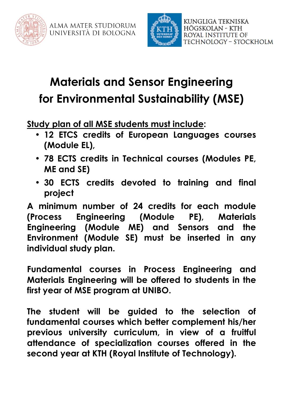



## **Materials and Sensor Engineering for Environmental Sustainability (MSE)**

**Study plan of all MSE students must include:**

- **12 ETCS credits of European Languages courses (Module EL),**
- **78 ECTS credits in Technical courses (Modules PE, ME and SE)**
- **30 ECTS credits devoted to training and final project**

**A minimum number of 24 credits for each module (Process Engineering (Module PE), Materials Engineering (Module ME) and Sensors and the Environment (Module SE) must be inserted in any individual study plan.**

**Fundamental courses in Process Engineering and Materials Engineering will be offered to students in the first year of MSE program at UNIBO.**

**The student will be guided to the selection of fundamental courses which better complement his/her previous university curriculum, in view of a fruitful attendance of specialization courses offered in the second year at KTH (Royal Institute of Technology).**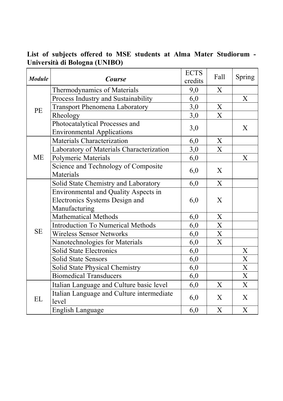**List of subjects offered to MSE students at Alma Mater Studiorum - Università di Bologna (UNIBO)**

| <b>Module</b> | <b>Course</b>                                                       | <b>ECTS</b><br>credits | Fall                    | Spring                    |
|---------------|---------------------------------------------------------------------|------------------------|-------------------------|---------------------------|
| <b>PE</b>     | Thermodynamics of Materials                                         | 9,0                    | X                       |                           |
|               | Process Industry and Sustainability                                 | 6,0                    |                         | X                         |
|               | <b>Transport Phenomena Laboratory</b>                               | 3,0                    | X                       |                           |
|               | Rheology                                                            | 3,0                    | $\overline{\mathbf{X}}$ |                           |
|               | Photocatalytical Processes and<br><b>Environmental Applications</b> | 3,0                    |                         | X                         |
| <b>ME</b>     | <b>Materials Characterization</b>                                   | 6,0                    | X                       |                           |
|               | Laboratory of Materials Characterization                            | 3,0                    | $\overline{X}$          |                           |
|               | <b>Polymeric Materials</b>                                          | 6,0                    |                         | X                         |
|               | Science and Technology of Composite<br><b>Materials</b>             | 6,0                    | X                       |                           |
| <b>SE</b>     | Solid State Chemistry and Laboratory                                | 6,0                    | X                       |                           |
|               | <b>Environmental and Quality Aspects in</b>                         |                        |                         |                           |
|               | Electronics Systems Design and                                      | 6,0                    | X                       |                           |
|               | Manufacturing                                                       |                        |                         |                           |
|               | <b>Mathematical Methods</b>                                         | 6,0                    | X                       |                           |
|               | <b>Introduction To Numerical Methods</b>                            | 6,0                    | X                       |                           |
|               | <b>Wireless Sensor Networks</b>                                     | 6,0                    | X                       |                           |
|               | Nanotechnologies for Materials                                      | 6,0                    | X                       |                           |
|               | <b>Solid State Electronics</b>                                      | 6,0                    |                         | X                         |
|               | <b>Solid State Sensors</b>                                          | 6,0                    |                         | $\boldsymbol{\mathrm{X}}$ |
|               | <b>Solid State Physical Chemistry</b>                               | 6,0                    |                         | $\mathbf X$               |
|               | <b>Biomedical Transducers</b>                                       | 6,0                    |                         | X                         |
| EL            | Italian Language and Culture basic level                            | 6,0                    | X                       | X                         |
|               | Italian Language and Culture intermediate<br>level                  | 6,0                    | X                       | X                         |
|               | <b>English Language</b>                                             | 6,0                    | X                       | X                         |